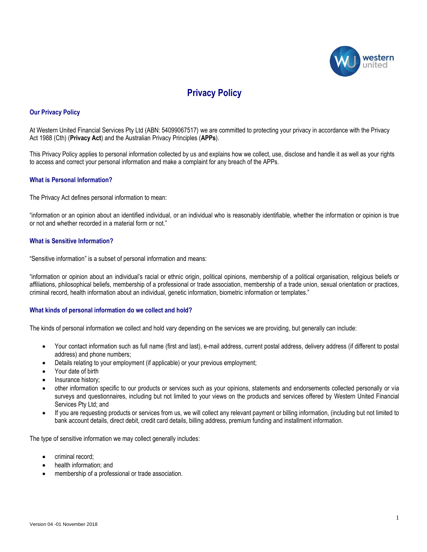

# **Privacy Policy**

# **Our Privacy Policy**

At Western United Financial Services Pty Ltd (ABN: 54099067517) we are committed to protecting your privacy in accordance with the Privacy Act 1988 (Cth) (**Privacy Act**) and the Australian Privacy Principles (**APPs**).

This Privacy Policy applies to personal information collected by us and explains how we collect, use, disclose and handle it as well as your rights to access and correct your personal information and make a complaint for any breach of the APPs.

# **What is Personal Information?**

The Privacy Act defines personal information to mean:

"information or an opinion about an identified individual, or an individual who is reasonably identifiable, whether the information or opinion is true or not and whether recorded in a material form or not."

## **What is Sensitive Information?**

"Sensitive information" is a subset of personal information and means:

"information or opinion about an individual's racial or ethnic origin, political opinions, membership of a political organisation, religious beliefs or affiliations, philosophical beliefs, membership of a professional or trade association, membership of a trade union, sexual orientation or practices, criminal record, health information about an individual, genetic information, biometric information or templates."

#### **What kinds of personal information do we collect and hold?**

The kinds of personal information we collect and hold vary depending on the services we are providing, but generally can include:

- Your contact information such as full name (first and last), e-mail address, current postal address, delivery address (if different to postal address) and phone numbers;
- Details relating to your employment (if applicable) or your previous employment;
- Your date of birth
- Insurance history;
- other information specific to our products or services such as your opinions, statements and endorsements collected personally or via surveys and questionnaires, including but not limited to your views on the products and services offered by Western United Financial Services Pty Ltd; and
- If you are requesting products or services from us, we will collect any relevant payment or billing information, (including but not limited to bank account details, direct debit, credit card details, billing address, premium funding and installment information.

The type of sensitive information we may collect generally includes:

- criminal record;
- health information; and
- membership of a professional or trade association.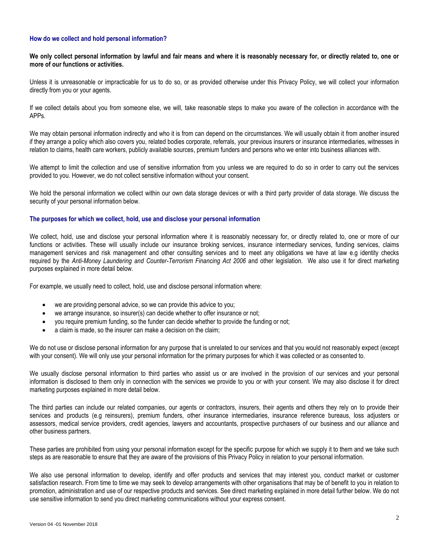## **How do we collect and hold personal information?**

**We only collect personal information by lawful and fair means and where it is reasonably necessary for, or directly related to, one or more of our functions or activities.**

Unless it is unreasonable or impracticable for us to do so, or as provided otherwise under this Privacy Policy, we will collect your information directly from you or your agents.

If we collect details about you from someone else, we will, take reasonable steps to make you aware of the collection in accordance with the APPs.

We may obtain personal information indirectly and who it is from can depend on the circumstances. We will usually obtain it from another insured if they arrange a policy which also covers you, related bodies corporate, referrals, your previous insurers or insurance intermediaries, witnesses in relation to claims, health care workers, publicly available sources, premium funders and persons who we enter into business alliances with.

We attempt to limit the collection and use of sensitive information from you unless we are required to do so in order to carry out the services provided to you. However, we do not collect sensitive information without your consent.

We hold the personal information we collect within our own data storage devices or with a third party provider of data storage. We discuss the security of your personal information below.

#### **The purposes for which we collect, hold, use and disclose your personal information**

We collect, hold, use and disclose your personal information where it is reasonably necessary for, or directly related to, one or more of our functions or activities. These will usually include our insurance broking services, insurance intermediary services, funding services, claims management services and risk management and other consulting services and to meet any obligations we have at law e.g identity checks required by the Anti-Money Laundering and Counter-Terrorism Financing Act 2006 and other legislation. We also use it for direct marketing purposes explained in more detail below.

For example, we usually need to collect, hold, use and disclose personal information where:

- we are providing personal advice, so we can provide this advice to you;
- we arrange insurance, so insurer(s) can decide whether to offer insurance or not;
- you require premium funding, so the funder can decide whether to provide the funding or not;
- a claim is made, so the insurer can make a decision on the claim;

We do not use or disclose personal information for any purpose that is unrelated to our services and that you would not reasonably expect (except with your consent). We will only use your personal information for the primary purposes for which it was collected or as consented to.

We usually disclose personal information to third parties who assist us or are involved in the provision of our services and your personal information is disclosed to them only in connection with the services we provide to you or with your consent. We may also disclose it for direct marketing purposes explained in more detail below.

The third parties can include our related companies, our agents or contractors, insurers, their agents and others they rely on to provide their services and products (e.g reinsurers), premium funders, other insurance intermediaries, insurance reference bureaus, loss adjusters or assessors, medical service providers, credit agencies, lawyers and accountants, prospective purchasers of our business and our alliance and other business partners.

These parties are prohibited from using your personal information except for the specific purpose for which we supply it to them and we take such steps as are reasonable to ensure that they are aware of the provisions of this Privacy Policy in relation to your personal information.

We also use personal information to develop, identify and offer products and services that may interest you, conduct market or customer satisfaction research. From time to time we may seek to develop arrangements with other organisations that may be of benefit to you in relation to promotion, administration and use of our respective products and services. See direct marketing explained in more detail further below. We do not use sensitive information to send you direct marketing communications without your express consent.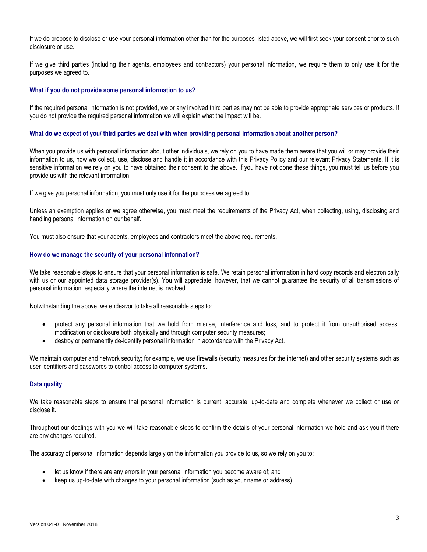If we do propose to disclose or use your personal information other than for the purposes listed above, we will first seek your consent prior to such disclosure or use.

If we give third parties (including their agents, employees and contractors) your personal information, we require them to only use it for the purposes we agreed to.

#### **What if you do not provide some personal information to us?**

If the required personal information is not provided, we or any involved third parties may not be able to provide appropriate services or products. If you do not provide the required personal information we will explain what the impact will be.

#### **What do we expect of you/ third parties we deal with when providing personal information about another person?**

When you provide us with personal information about other individuals, we rely on you to have made them aware that you will or may provide their information to us, how we collect, use, disclose and handle it in accordance with this Privacy Policy and our relevant Privacy Statements. If it is sensitive information we rely on you to have obtained their consent to the above. If you have not done these things, you must tell us before you provide us with the relevant information.

If we give you personal information, you must only use it for the purposes we agreed to.

Unless an exemption applies or we agree otherwise, you must meet the requirements of the Privacy Act, when collecting, using, disclosing and handling personal information on our behalf.

You must also ensure that your agents, employees and contractors meet the above requirements.

## **How do we manage the security of your personal information?**

We take reasonable steps to ensure that your personal information is safe. We retain personal information in hard copy records and electronically with us or our appointed data storage provider(s). You will appreciate, however, that we cannot guarantee the security of all transmissions of personal information, especially where the internet is involved.

Notwithstanding the above, we endeavor to take all reasonable steps to:

- protect any personal information that we hold from misuse, interference and loss, and to protect it from unauthorised access, modification or disclosure both physically and through computer security measures;
- destroy or permanently de-identify personal information in accordance with the Privacy Act.

We maintain computer and network security; for example, we use firewalls (security measures for the internet) and other security systems such as user identifiers and passwords to control access to computer systems.

# **Data quality**

We take reasonable steps to ensure that personal information is current, accurate, up-to-date and complete whenever we collect or use or disclose it.

Throughout our dealings with you we will take reasonable steps to confirm the details of your personal information we hold and ask you if there are any changes required.

The accuracy of personal information depends largely on the information you provide to us, so we rely on you to:

- let us know if there are any errors in your personal information you become aware of; and
- keep us up-to-date with changes to your personal information (such as your name or address).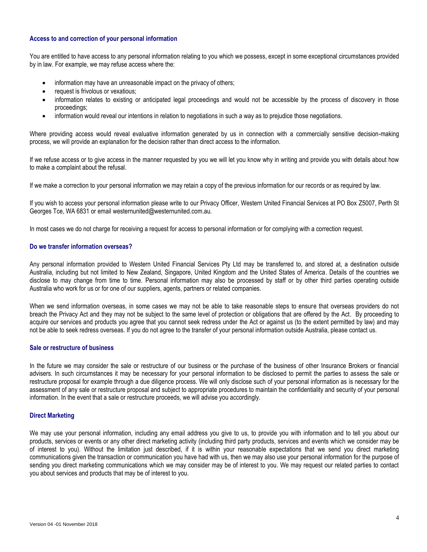# **Access to and correction of your personal information**

You are entitled to have access to any personal information relating to you which we possess, except in some exceptional circumstances provided by in law. For example, we may refuse access where the:

- information may have an unreasonable impact on the privacy of others;
- **•** request is frivolous or vexatious;
- information relates to existing or anticipated legal proceedings and would not be accessible by the process of discovery in those proceedings;
- information would reveal our intentions in relation to negotiations in such a way as to prejudice those negotiations.

Where providing access would reveal evaluative information generated by us in connection with a commercially sensitive decision-making process, we will provide an explanation for the decision rather than direct access to the information.

If we refuse access or to give access in the manner requested by you we will let you know why in writing and provide you with details about how to make a complaint about the refusal.

If we make a correction to your personal information we may retain a copy of the previous information for our records or as required by law.

If you wish to access your personal information please write to our Privacy Officer, Western United Financial Services at PO Box Z5007, Perth St Georges Tce, WA 6831 or email westernunited@westernunited.com.au.

In most cases we do not charge for receiving a request for access to personal information or for complying with a correction request.

## **Do we transfer information overseas?**

Any personal information provided to Western United Financial Services Pty Ltd may be transferred to, and stored at, a destination outside Australia, including but not limited to New Zealand, Singapore, United Kingdom and the United States of America. Details of the countries we disclose to may change from time to time. Personal information may also be processed by staff or by other third parties operating outside Australia who work for us or for one of our suppliers, agents, partners or related companies.

When we send information overseas, in some cases we may not be able to take reasonable steps to ensure that overseas providers do not breach the Privacy Act and they may not be subject to the same level of protection or obligations that are offered by the Act. By proceeding to acquire our services and products you agree that you cannot seek redress under the Act or against us (to the extent permitted by law) and may not be able to seek redress overseas. If you do not agree to the transfer of your personal information outside Australia, please contact us.

#### **Sale or restructure of business**

In the future we may consider the sale or restructure of our business or the purchase of the business of other Insurance Brokers or financial advisers. In such circumstances it may be necessary for your personal information to be disclosed to permit the parties to assess the sale or restructure proposal for example through a due diligence process. We will only disclose such of your personal information as is necessary for the assessment of any sale or restructure proposal and subject to appropriate procedures to maintain the confidentiality and security of your personal information. In the event that a sale or restructure proceeds, we will advise you accordingly.

#### **Direct Marketing**

We may use your personal information, including any email address you give to us, to provide you with information and to tell you about our products, services or events or any other direct marketing activity (including third party products, services and events which we consider may be of interest to you). Without the limitation just described, if it is within your reasonable expectations that we send you direct marketing communications given the transaction or communication you have had with us, then we may also use your personal information for the purpose of sending you direct marketing communications which we may consider may be of interest to you. We may request our related parties to contact you about services and products that may be of interest to you.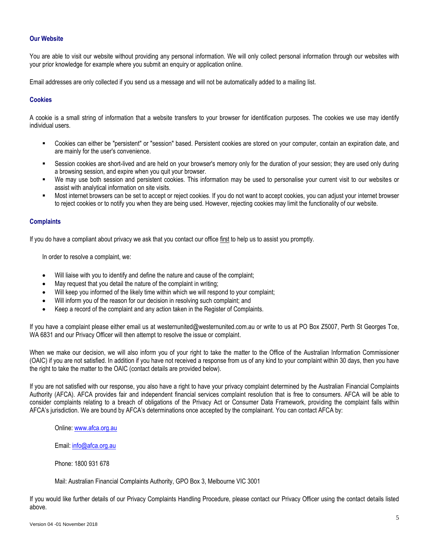# **Our Website**

You are able to visit our website without providing any personal information. We will only collect personal information through our websites with your prior knowledge for example where you submit an enquiry or application online.

Email addresses are only collected if you send us a message and will not be automatically added to a mailing list.

# **Cookies**

A cookie is a small string of information that a website transfers to your browser for identification purposes. The cookies we use may identify individual users.

- Cookies can either be "persistent" or "session" based. Persistent cookies are stored on your computer, contain an expiration date, and are mainly for the user's convenience.
- Session cookies are short-lived and are held on your browser's memory only for the duration of your session; they are used only during a browsing session, and expire when you quit your browser.
- We may use both session and persistent cookies. This information may be used to personalise your current visit to our websites or assist with analytical information on site visits.
- Most internet browsers can be set to accept or reject cookies. If you do not want to accept cookies, you can adjust your internet browser to reject cookies or to notify you when they are being used. However, rejecting cookies may limit the functionality of our website.

## **Complaints**

If you do have a compliant about privacy we ask that you contact our office first to help us to assist you promptly.

In order to resolve a complaint, we:

- Will liaise with you to identify and define the nature and cause of the complaint;
- May request that you detail the nature of the complaint in writing;
- Will keep you informed of the likely time within which we will respond to your complaint;
- Will inform you of the reason for our decision in resolving such complaint; and
- Keep a record of the complaint and any action taken in the Register of Complaints.

If you have a complaint please either email us at westernunited@westernunited.com.au or write to us at PO Box Z5007, Perth St Georges Tce, WA 6831 and our Privacy Officer will then attempt to resolve the issue or complaint.

When we make our decision, we will also inform you of your right to take the matter to the Office of the Australian Information Commissioner (OAIC) if you are not satisfied. In addition if you have not received a response from us of any kind to your complaint within 30 days, then you have the right to take the matter to the OAIC (contact details are provided below).

If you are not satisfied with our response, you also have a right to have your privacy complaint determined by the Australian Financial Complaints Authority (AFCA). AFCA provides fair and independent financial services complaint resolution that is free to consumers. AFCA will be able to consider complaints relating to a breach of obligations of the Privacy Act or Consumer Data Framework, providing the complaint falls within AFCA's jurisdiction. We are bound by AFCA's determinations once accepted by the complainant. You can contact AFCA by:

Online: [www.afca.org.au](http://www.afca.org.au/)

Email[: info@afca.org.au](mailto:info@afca.org.au)

Phone: 1800 931 678

Mail: Australian Financial Complaints Authority, GPO Box 3, Melbourne VIC 3001

If you would like further details of our Privacy Complaints Handling Procedure, please contact our Privacy Officer using the contact details listed above.